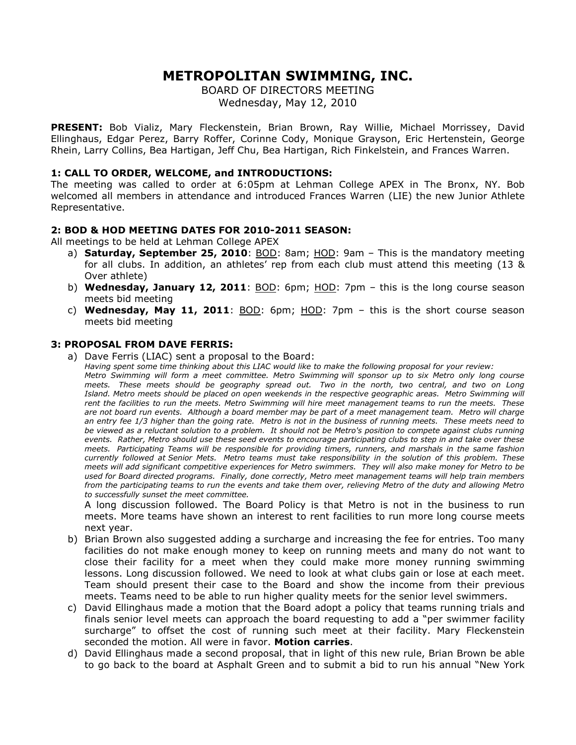# **METROPOLITAN SWIMMING, INC.**

BOARD OF DIRECTORS MEETING

Wednesday, May 12, 2010

**PRESENT:** Bob Vializ, Mary Fleckenstein, Brian Brown, Ray Willie, Michael Morrissey, David Ellinghaus, Edgar Perez, Barry Roffer, Corinne Cody, Monique Grayson, Eric Hertenstein, George Rhein, Larry Collins, Bea Hartigan, Jeff Chu, Bea Hartigan, Rich Finkelstein, and Frances Warren.

## **1: CALL TO ORDER, WELCOME, and INTRODUCTIONS:**

The meeting was called to order at 6:05pm at Lehman College APEX in The Bronx, NY. Bob welcomed all members in attendance and introduced Frances Warren (LIE) the new Junior Athlete Representative.

## **2: BOD & HOD MEETING DATES FOR 2010-2011 SEASON:**

All meetings to be held at Lehman College APEX

- a) **Saturday, September 25, 2010**: BOD: 8am; HOD: 9am This is the mandatory meeting for all clubs. In addition, an athletes' rep from each club must attend this meeting (13 & Over athlete)
- b) **Wednesday, January 12, 2011**: BOD: 6pm; HOD: 7pm this is the long course season meets bid meeting
- c) **Wednesday, May 11, 2011**: BOD: 6pm; HOD: 7pm this is the short course season meets bid meeting

### **3: PROPOSAL FROM DAVE FERRIS:**

a) Dave Ferris (LIAC) sent a proposal to the Board:

*Having spent some time thinking about this LIAC would like to make the following proposal for your review: Metro Swimming will form a meet committee. Metro Swimming will sponsor up to six Metro only long course meets. These meets should be geography spread out. Two in the north, two central, and two on Long Island. Metro meets should be placed on open weekends in the respective geographic areas. Metro Swimming will rent the facilities to run the meets. Metro Swimming will hire meet management teams to run the meets. These are not board run events. Although a board member may be part of a meet management team. Metro will charge an entry fee 1/3 higher than the going rate. Metro is not in the business of running meets. These meets need to be viewed as a reluctant solution to a problem. It should not be Metro's position to compete against clubs running events. Rather, Metro should use these seed events to encourage participating clubs to step in and take over these meets. Participating Teams will be responsible for providing timers, runners, and marshals in the same fashion currently followed at Senior Mets. Metro teams must take responsibility in the solution of this problem. These meets will add significant competitive experiences for Metro swimmers. They will also make money for Metro to be used for Board directed programs. Finally, done correctly, Metro meet management teams will help train members from the participating teams to run the events and take them over, relieving Metro of the duty and allowing Metro to successfully sunset the meet committee.*

A long discussion followed. The Board Policy is that Metro is not in the business to run meets. More teams have shown an interest to rent facilities to run more long course meets next year.

- b) Brian Brown also suggested adding a surcharge and increasing the fee for entries. Too many facilities do not make enough money to keep on running meets and many do not want to close their facility for a meet when they could make more money running swimming lessons. Long discussion followed. We need to look at what clubs gain or lose at each meet. Team should present their case to the Board and show the income from their previous meets. Teams need to be able to run higher quality meets for the senior level swimmers.
- c) David Ellinghaus made a motion that the Board adopt a policy that teams running trials and finals senior level meets can approach the board requesting to add a "per swimmer facility surcharge" to offset the cost of running such meet at their facility. Mary Fleckenstein seconded the motion. All were in favor. **Motion carries**.
- d) David Ellinghaus made a second proposal, that in light of this new rule, Brian Brown be able to go back to the board at Asphalt Green and to submit a bid to run his annual "New York